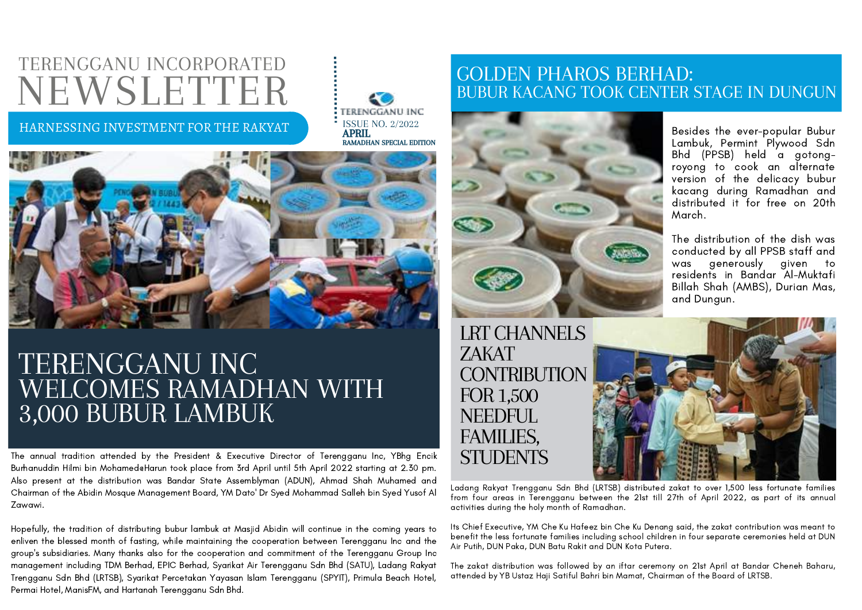# TERENGGANU INCORPORATED NEWSLETTER

#### HARNESSING INVESTMENT FOR THE RAKYAT





### TERENGGANU INC WELCOMES RAMADHAN WITH 3,000 BUBUR LAMBUK

The annual tradition attended by the President & Executive Director of Terengganu Inc, YBhg Encik Burhanuddin Hilmi bin Mohamed@Harun took place from 3rd April until 5th April 2022 starting at 2.30 pm. Also present at the distribution was Bandar State Assemblyman (ADUN), Ahmad Shah Muhamed and Chairman of the Abidin Mosque Management Board, YM Dato' Dr Syed Mohammad Salleh bin Syed Yusof Al Zawawi.

Hopefully, the tradition of distributing bubur lambuk at Masjid Abidin will continue in the coming years to enliven the blessed month of fasting, while maintaining the cooperation between Terengganu Inc and the group's subsidiaries. Many thanks also for the cooperation and commitment of the Terengganu Group Inc management including TDM Berhad, EPIC Berhad, Syarikat Air Terengganu Sdn Bhd (SATU), Ladang Rakyat Trengganu Sdn Bhd (LRTSB), Syarikat Percetakan Yayasan Islam Terengganu (SPYIT), Primula Beach Hotel, Permai Hotel, ManisFM, and Hartanah Terengganu Sdn Bhd.

### GOLDEN PHAROS BERHAD: BUBUR KACANG TOOK CENTER STAGE IN DUNGUN



Besides the ever-popular Bubur Lambuk, Permint Plywood Sdn Bhd (PPSB) held a gotongroyong to cook an alternate version of the delicacy bubur kacang during Ramadhan and distributed it for free on 20th March.

The distribution of the dish was conducted by all PPSB staff and was generously given to residents in Bandar Al-Muktafi Billah Shah (AMBS), Durian Mas, and Dungun.

LRT CHANNELS ZAKAT CONTRIBUTION FOR 1,500 NEEDFUL. FAMILIES, **STUDENTS** 

Ladang Rakyat Trengganu Sdn Bhd (LRTSB) distributed zakat to over 1,500 less fortunate families from four areas in Terengganu between the 21st till 27th of April 2022, as part of its annual activities during the holy month of Ramadhan.

Its Chief Executive, YM Che Ku Hafeez bin Che Ku Denang said, the zakat contribution was meant to benefit the less fortunate families including school children in four separate ceremonies held at DUN Air Putih, DUN Paka, DUN Batu Rakit and DUN Kota Putera.

The zakat distribution was followed by an iftar ceremony on 21st April at Bandar Cheneh Baharu, attended by YB Ustaz Haji Satiful Bahri bin Mamat, Chairman of the Board of LRTSB.